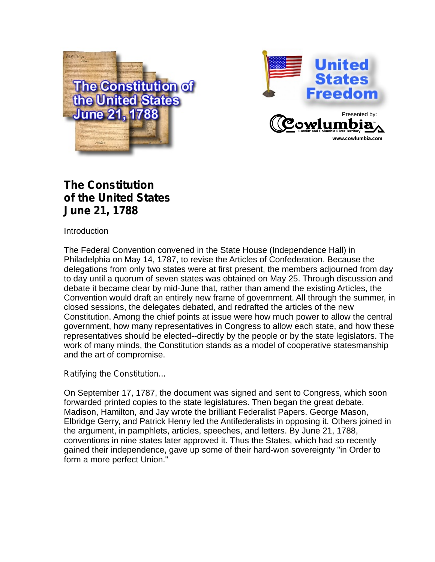



## **The Constitution of the United States June 21, 1788**

**Introduction** 

The Federal Convention convened in the State House (Independence Hall) in Philadelphia on May 14, 1787, to revise the Articles of Confederation. Because the delegations from only two states were at first present, the members adjourned from day to day until a quorum of seven states was obtained on May 25. Through discussion and debate it became clear by mid-June that, rather than amend the existing Articles, the Convention would draft an entirely new frame of government. All through the summer, in closed sessions, the delegates debated, and redrafted the articles of the new Constitution. Among the chief points at issue were how much power to allow the central government, how many representatives in Congress to allow each state, and how these representatives should be elected--directly by the people or by the state legislators. The work of many minds, the Constitution stands as a model of cooperative statesmanship and the art of compromise.

#### *Ratifying the Constitution...*

On September 17, 1787, the document was signed and sent to Congress, which soon forwarded printed copies to the state legislatures. Then began the great debate. Madison, Hamilton, and Jay wrote the brilliant Federalist Papers. George Mason, Elbridge Gerry, and Patrick Henry led the Antifederalists in opposing it. Others joined in the argument, in pamphlets, articles, speeches, and letters. By June 21, 1788, conventions in nine states later approved it. Thus the States, which had so recently gained their independence, gave up some of their hard-won sovereignty "in Order to form a more perfect Union."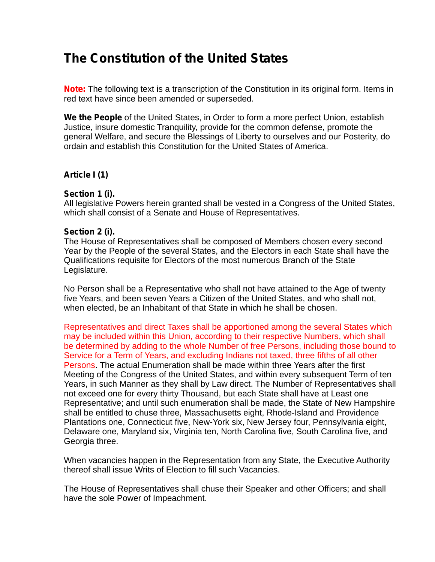# **The Constitution of the United States**

**Note:** The following text is a transcription of the Constitution in its original form. Items in red text have since been amended or superseded.

**We the People** of the United States, in Order to form a more perfect Union, establish Justice, insure domestic Tranquility, provide for the common defense, promote the general Welfare, and secure the Blessings of Liberty to ourselves and our Posterity, do ordain and establish this Constitution for the United States of America.

## **Article I (1)**

#### **Section 1 (i).**

All legislative Powers herein granted shall be vested in a Congress of the United States, which shall consist of a Senate and House of Representatives.

#### **Section 2 (i).**

The House of Representatives shall be composed of Members chosen every second Year by the People of the several States, and the Electors in each State shall have the Qualifications requisite for Electors of the most numerous Branch of the State Legislature.

No Person shall be a Representative who shall not have attained to the Age of twenty five Years, and been seven Years a Citizen of the United States, and who shall not, when elected, be an Inhabitant of that State in which he shall be chosen.

Persons. The actual Enumeration shall be made within three Years after the first Meeting of the Congress of the United States, and within every subsequent Term of ten Years, in such Manner as they shall by Law direct. The Number of Representatives shall not exceed one for every thirty Thousand, but each State shall have at Least one Representative; and until such enumeration shall be made, the State of New Hampshire shall be entitled to chuse three, Massachusetts eight, Rhode-Island and Providence Plantations one, Connecticut five, New-York six, New Jersey four, Pennsylvania eight, Delaware one, Maryland six, Virginia ten, North Carolina five, South Carolina five, and Georgia three. Representatives and direct Taxes shall be apportioned among the several States which may be included within this Union, according to their respective Numbers, which shall be determined by adding to the whole Number of free Persons, including those bound to Service for a Term of Years, and excluding Indians not taxed, three fifths of all other

When vacancies happen in the Representation from any State, the Executive Authority thereof shall issue Writs of Election to fill such Vacancies.

The House of Representatives shall chuse their Speaker and other Officers; and shall have the sole Power of Impeachment.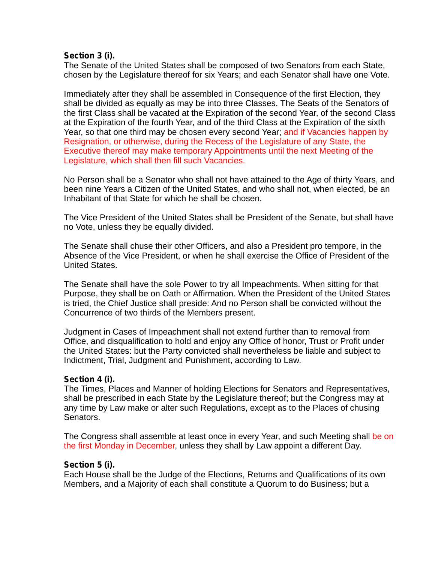#### **Section 3 (i).**

The Senate of the United States shall be composed of two Senators from each State, chosen by the Legislature thereof for six Years; and each Senator shall have one Vote.

Immediately after they shall be assembled in Consequence of the first Election, they shall be divided as equally as may be into three Classes. The Seats of the Senators of the first Class shall be vacated at the Expiration of the second Year, of the second Class at the Expiration of the fourth Year, and of the third Class at the Expiration of the sixth Year, so that one third may be chosen every second Year; and if Vacancies happen by Resignation, or otherwise, during the Recess of the Legislature of any State, the Executive thereof may make temporary Appointments until the next Meeting of the Legislature, which shall then fill such Vacancies.

No Person shall be a Senator who shall not have attained to the Age of thirty Years, and been nine Years a Citizen of the United States, and who shall not, when elected, be an Inhabitant of that State for which he shall be chosen.

The Vice President of the United States shall be President of the Senate, but shall have no Vote, unless they be equally divided.

The Senate shall chuse their other Officers, and also a President pro tempore, in the Absence of the Vice President, or when he shall exercise the Office of President of the United States.

The Senate shall have the sole Power to try all Impeachments. When sitting for that Purpose, they shall be on Oath or Affirmation. When the President of the United States is tried, the Chief Justice shall preside: And no Person shall be convicted without the Concurrence of two thirds of the Members present.

Judgment in Cases of Impeachment shall not extend further than to removal from Office, and disqualification to hold and enjoy any Office of honor, Trust or Profit under the United States: but the Party convicted shall nevertheless be liable and subject to Indictment, Trial, Judgment and Punishment, according to Law.

#### **Section 4 (i).**

The Times, Places and Manner of holding Elections for Senators and Representatives, shall be prescribed in each State by the Legislature thereof; but the Congress may at any time by Law make or alter such Regulations, except as to the Places of chusing Senators.

The Congress shall assemble at least once in every Year, and such Meeting shall be on the first Monday in December, unless they shall by Law appoint a different Day.

#### **Section 5 (i).**

Each House shall be the Judge of the Elections, Returns and Qualifications of its own Members, and a Majority of each shall constitute a Quorum to do Business; but a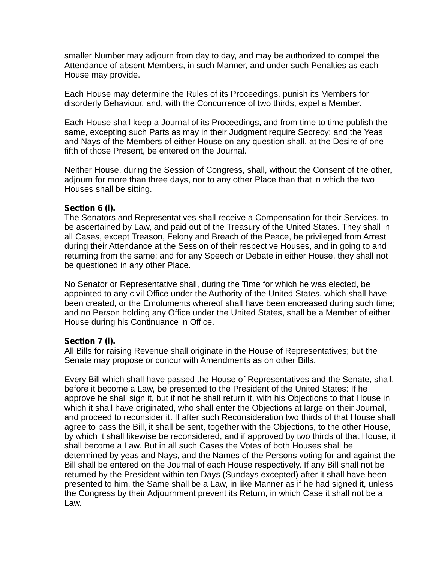smaller Number may adjourn from day to day, and may be authorized to compel the Attendance of absent Members, in such Manner, and under such Penalties as each House may provide.

Each House may determine the Rules of its Proceedings, punish its Members for disorderly Behaviour, and, with the Concurrence of two thirds, expel a Member.

Each House shall keep a Journal of its Proceedings, and from time to time publish the same, excepting such Parts as may in their Judgment require Secrecy; and the Yeas and Nays of the Members of either House on any question shall, at the Desire of one fifth of those Present, be entered on the Journal.

Neither House, during the Session of Congress, shall, without the Consent of the other, adjourn for more than three days, nor to any other Place than that in which the two Houses shall be sitting.

#### **Section 6 (i).**

The Senators and Representatives shall receive a Compensation for their Services, to be ascertained by Law, and paid out of the Treasury of the United States. They shall in all Cases, except Treason, Felony and Breach of the Peace, be privileged from Arrest during their Attendance at the Session of their respective Houses, and in going to and returning from the same; and for any Speech or Debate in either House, they shall not be questioned in any other Place.

No Senator or Representative shall, during the Time for which he was elected, be appointed to any civil Office under the Authority of the United States, which shall have been created, or the Emoluments whereof shall have been encreased during such time; and no Person holding any Office under the United States, shall be a Member of either House during his Continuance in Office.

#### **Section 7 (i).**

All Bills for raising Revenue shall originate in the House of Representatives; but the Senate may propose or concur with Amendments as on other Bills.

Every Bill which shall have passed the House of Representatives and the Senate, shall, before it become a Law, be presented to the President of the United States: If he approve he shall sign it, but if not he shall return it, with his Objections to that House in which it shall have originated, who shall enter the Objections at large on their Journal, and proceed to reconsider it. If after such Reconsideration two thirds of that House shall agree to pass the Bill, it shall be sent, together with the Objections, to the other House, by which it shall likewise be reconsidered, and if approved by two thirds of that House, it shall become a Law. But in all such Cases the Votes of both Houses shall be determined by yeas and Nays, and the Names of the Persons voting for and against the Bill shall be entered on the Journal of each House respectively. If any Bill shall not be returned by the President within ten Days (Sundays excepted) after it shall have been presented to him, the Same shall be a Law, in like Manner as if he had signed it, unless the Congress by their Adjournment prevent its Return, in which Case it shall not be a Law.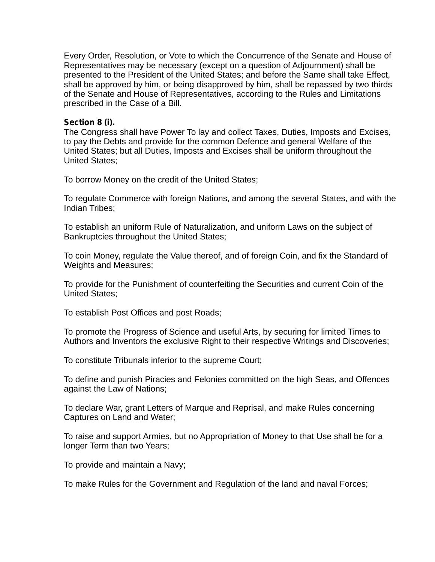Every Order, Resolution, or Vote to which the Concurrence of the Senate and House of Representatives may be necessary (except on a question of Adjournment) shall be presented to the President of the United States; and before the Same shall take Effect, shall be approved by him, or being disapproved by him, shall be repassed by two thirds of the Senate and House of Representatives, according to the Rules and Limitations prescribed in the Case of a Bill.

#### **Section 8 (i).**

The Congress shall have Power To lay and collect Taxes, Duties, Imposts and Excises, to pay the Debts and provide for the common Defence and general Welfare of the United States; but all Duties, Imposts and Excises shall be uniform throughout the United States;

To borrow Money on the credit of the United States;

To regulate Commerce with foreign Nations, and among the several States, and with the Indian Tribes;

To establish an uniform Rule of Naturalization, and uniform Laws on the subject of Bankruptcies throughout the United States;

To coin Money, regulate the Value thereof, and of foreign Coin, and fix the Standard of Weights and Measures;

To provide for the Punishment of counterfeiting the Securities and current Coin of the United States;

To establish Post Offices and post Roads;

To promote the Progress of Science and useful Arts, by securing for limited Times to Authors and Inventors the exclusive Right to their respective Writings and Discoveries;

To constitute Tribunals inferior to the supreme Court;

To define and punish Piracies and Felonies committed on the high Seas, and Offences against the Law of Nations;

To declare War, grant Letters of Marque and Reprisal, and make Rules concerning Captures on Land and Water;

To raise and support Armies, but no Appropriation of Money to that Use shall be for a longer Term than two Years;

To provide and maintain a Navy;

To make Rules for the Government and Regulation of the land and naval Forces;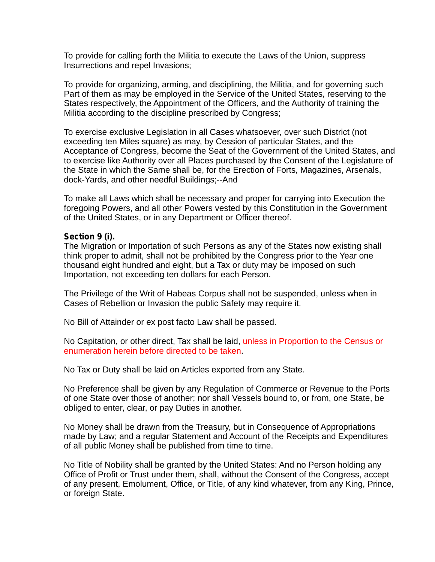To provide for calling forth the Militia to execute the Laws of the Union, suppress Insurrections and repel Invasions;

To provide for organizing, arming, and disciplining, the Militia, and for governing such Part of them as may be employed in the Service of the United States, reserving to the States respectively, the Appointment of the Officers, and the Authority of training the Militia according to the discipline prescribed by Congress;

To exercise exclusive Legislation in all Cases whatsoever, over such District (not exceeding ten Miles square) as may, by Cession of particular States, and the Acceptance of Congress, become the Seat of the Government of the United States, and to exercise like Authority over all Places purchased by the Consent of the Legislature of the State in which the Same shall be, for the Erection of Forts, Magazines, Arsenals, dock-Yards, and other needful Buildings;--And

To make all Laws which shall be necessary and proper for carrying into Execution the foregoing Powers, and all other Powers vested by this Constitution in the Government of the United States, or in any Department or Officer thereof.

#### **Section 9 (i).**

The Migration or Importation of such Persons as any of the States now existing shall think proper to admit, shall not be prohibited by the Congress prior to the Year one thousand eight hundred and eight, but a Tax or duty may be imposed on such Importation, not exceeding ten dollars for each Person.

The Privilege of the Writ of Habeas Corpus shall not be suspended, unless when in Cases of Rebellion or Invasion the public Safety may require it.

No Bill of Attainder or ex post facto Law shall be passed.

No Capitation, or other direct, Tax shall be laid, unless in Proportion to the Census or . enumeration herein before directed to be taken

No Tax or Duty shall be laid on Articles exported from any State.

No Preference shall be given by any Regulation of Commerce or Revenue to the Ports of one State over those of another; nor shall Vessels bound to, or from, one State, be obliged to enter, clear, or pay Duties in another.

No Money shall be drawn from the Treasury, but in Consequence of Appropriations made by Law; and a regular Statement and Account of the Receipts and Expenditures of all public Money shall be published from time to time.

No Title of Nobility shall be granted by the United States: And no Person holding any Office of Profit or Trust under them, shall, without the Consent of the Congress, accept of any present, Emolument, Office, or Title, of any kind whatever, from any King, Prince, or foreign State.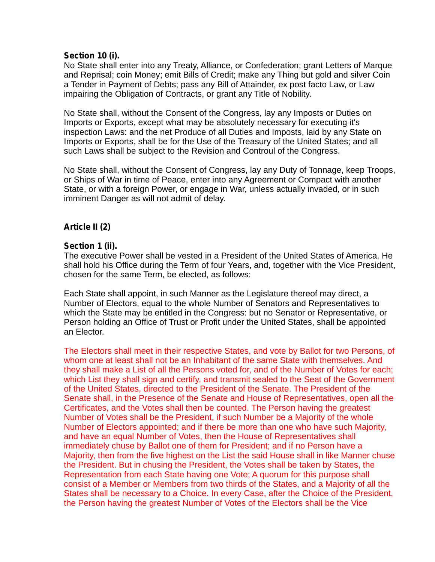#### **Section 10 (i).**

No State shall enter into any Treaty, Alliance, or Confederation; grant Letters of Marque and Reprisal; coin Money; emit Bills of Credit; make any Thing but gold and silver Coin a Tender in Payment of Debts; pass any Bill of Attainder, ex post facto Law, or Law impairing the Obligation of Contracts, or grant any Title of Nobility.

No State shall, without the Consent of the Congress, lay any Imposts or Duties on Imports or Exports, except what may be absolutely necessary for executing it's inspection Laws: and the net Produce of all Duties and Imposts, laid by any State on Imports or Exports, shall be for the Use of the Treasury of the United States; and all such Laws shall be subject to the Revision and Controul of the Congress.

No State shall, without the Consent of Congress, lay any Duty of Tonnage, keep Troops, or Ships of War in time of Peace, enter into any Agreement or Compact with another State, or with a foreign Power, or engage in War, unless actually invaded, or in such imminent Danger as will not admit of delay.

#### **Article II (2)**

#### **Section 1 (ii).**

The executive Power shall be vested in a President of the United States of America. He shall hold his Office during the Term of four Years, and, together with the Vice President, chosen for the same Term, be elected, as follows:

Each State shall appoint, in such Manner as the Legislature thereof may direct, a Number of Electors, equal to the whole Number of Senators and Representatives to which the State may be entitled in the Congress: but no Senator or Representative, or Person holding an Office of Trust or Profit under the United States, shall be appointed an Elector.

The Electors shall meet in their respective States, and vote by Ballot for two Persons, of whom one at least shall not be an Inhabitant of the same State with themselves. And they shall make a List of all the Persons voted for, and of the Number of Votes for each; which List they shall sign and certify, and transmit sealed to the Seat of the Government of the United States, directed to the President of the Senate. The President of the Senate shall, in the Presence of the Senate and House of Representatives, open all the Certificates, and the Votes shall then be counted. The Person having the greatest Number of Votes shall be the President, if such Number be a Majority of the whole Number of Electors appointed; and if there be more than one who have such Majority, and have an equal Number of Votes, then the House of Representatives shall immediately chuse by Ballot one of them for President; and if no Person have a Majority, then from the five highest on the List the said House shall in like Manner chuse the President. But in chusing the President, the Votes shall be taken by States, the Representation from each State having one Vote; A quorum for this purpose shall consist of a Member or Members from two thirds of the States, and a Majority of all the States shall be necessary to a Choice. In every Case, after the Choice of the President, the Person having the greatest Number of Votes of the Electors shall be the Vice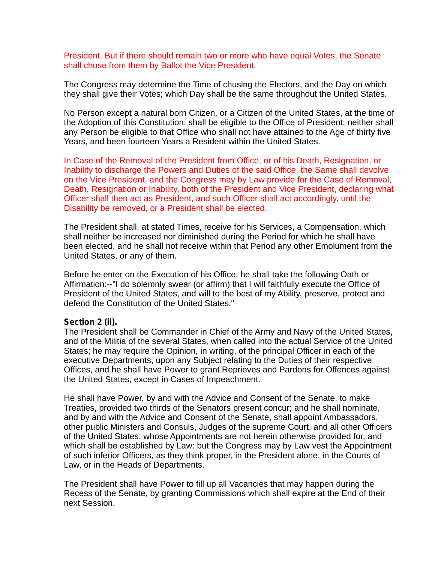President. But if there should remain two or more who have equal Votes, the Senate shall chuse from them by Ballot the Vice President.

The Congress may determine the Time of chusing the Electors, and the Day on which they shall give their Votes; which Day shall be the same throughout the United States.

No Person except a natural born Citizen, or a Citizen of the United States, at the time of the Adoption of this Constitution, shall be eligible to the Office of President; neither shall any Person be eligible to that Office who shall not have attained to the Age of thirty five Years, and been fourteen Years a Resident within the United States.

In Case of the Removal of the President from Office, or of his Death, Resignation, or Inability to discharge the Powers and Duties of the said Office, the Same shall devolve on the Vice President, and the Congress may by Law provide for the Case of Removal, Death, Resignation or Inability, both of the President and Vice President, declaring what Officer shall then act as President, and such Officer shall act accordingly, until the Disability be removed, or a President shall be elected.

The President shall, at stated Times, receive for his Services, a Compensation, which shall neither be increased nor diminished during the Period for which he shall have been elected, and he shall not receive within that Period any other Emolument from the United States, or any of them.

Before he enter on the Execution of his Office, he shall take the following Oath or Affirmation:--"I do solemnly swear (or affirm) that I will faithfully execute the Office of President of the United States, and will to the best of my Ability, preserve, protect and defend the Constitution of the United States."

#### **Section 2 (ii).**

The President shall be Commander in Chief of the Army and Navy of the United States, and of the Militia of the several States, when called into the actual Service of the United States; he may require the Opinion, in writing, of the principal Officer in each of the executive Departments, upon any Subject relating to the Duties of their respective Offices, and he shall have Power to grant Reprieves and Pardons for Offences against the United States, except in Cases of Impeachment.

He shall have Power, by and with the Advice and Consent of the Senate, to make Treaties, provided two thirds of the Senators present concur; and he shall nominate, and by and with the Advice and Consent of the Senate, shall appoint Ambassadors, other public Ministers and Consuls, Judges of the supreme Court, and all other Officers of the United States, whose Appointments are not herein otherwise provided for, and which shall be established by Law: but the Congress may by Law vest the Appointment of such inferior Officers, as they think proper, in the President alone, in the Courts of Law, or in the Heads of Departments.

The President shall have Power to fill up all Vacancies that may happen during the Recess of the Senate, by granting Commissions which shall expire at the End of their next Session.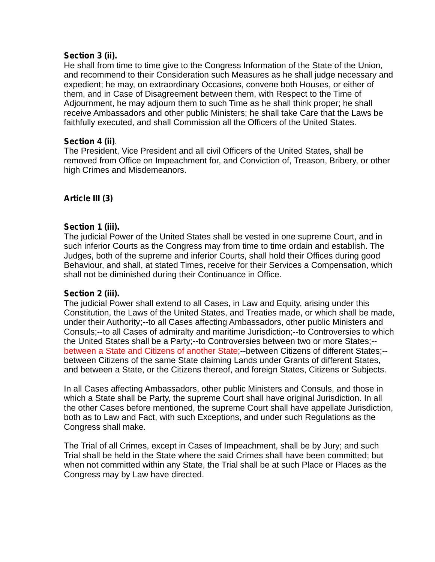#### **Section 3 (ii).**

He shall from time to time give to the Congress Information of the State of the Union, and recommend to their Consideration such Measures as he shall judge necessary and expedient; he may, on extraordinary Occasions, convene both Houses, or either of them, and in Case of Disagreement between them, with Respect to the Time of Adjournment, he may adjourn them to such Time as he shall think proper; he shall receive Ambassadors and other public Ministers; he shall take Care that the Laws be faithfully executed, and shall Commission all the Officers of the United States.

#### **Section 4 (ii)**.

The President, Vice President and all civil Officers of the United States, shall be removed from Office on Impeachment for, and Conviction of, Treason, Bribery, or other high Crimes and Misdemeanors.

## **Article III (3)**

#### **Section 1 (iii).**

The judicial Power of the United States shall be vested in one supreme Court, and in such inferior Courts as the Congress may from time to time ordain and establish. The Judges, both of the supreme and inferior Courts, shall hold their Offices during good Behaviour, and shall, at stated Times, receive for their Services a Compensation, which shall not be diminished during their Continuance in Office.

#### **Section 2 (iii).**

The judicial Power shall extend to all Cases, in Law and Equity, arising under this Constitution, the Laws of the United States, and Treaties made, or which shall be made, under their Authority;--to all Cases affecting Ambassadors, other public Ministers and Consuls;--to all Cases of admiralty and maritime Jurisdiction;--to Controversies to which the United States shall be a Party;--to Controversies between two or more States;- between a State and Citizens of another State;--between Citizens of different States;-between Citizens of the same State claiming Lands under Grants of different States, and between a State, or the Citizens thereof, and foreign States, Citizens or Subjects.

In all Cases affecting Ambassadors, other public Ministers and Consuls, and those in which a State shall be Party, the supreme Court shall have original Jurisdiction. In all the other Cases before mentioned, the supreme Court shall have appellate Jurisdiction, both as to Law and Fact, with such Exceptions, and under such Regulations as the Congress shall make.

The Trial of all Crimes, except in Cases of Impeachment, shall be by Jury; and such Trial shall be held in the State where the said Crimes shall have been committed; but when not committed within any State, the Trial shall be at such Place or Places as the Congress may by Law have directed.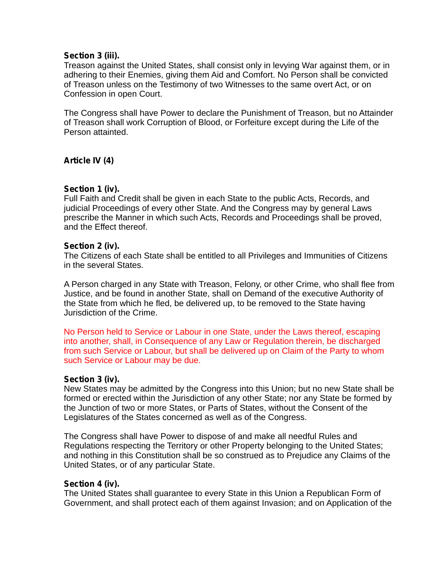#### **Section 3 (iii).**

Treason against the United States, shall consist only in levying War against them, or in adhering to their Enemies, giving them Aid and Comfort. No Person shall be convicted of Treason unless on the Testimony of two Witnesses to the same overt Act, or on Confession in open Court.

The Congress shall have Power to declare the Punishment of Treason, but no Attainder of Treason shall work Corruption of Blood, or Forfeiture except during the Life of the Person attainted.

## **Article IV (4)**

#### **Section 1 (iv).**

Full Faith and Credit shall be given in each State to the public Acts, Records, and judicial Proceedings of every other State. And the Congress may by general Laws prescribe the Manner in which such Acts, Records and Proceedings shall be proved, and the Effect thereof.

#### **Section 2 (iv).**

The Citizens of each State shall be entitled to all Privileges and Immunities of Citizens in the several States.

A Person charged in any State with Treason, Felony, or other Crime, who shall flee from Justice, and be found in another State, shall on Demand of the executive Authority of the State from which he fled, be delivered up, to be removed to the State having Jurisdiction of the Crime.

No Person held to Service or Labour in one State, under the Laws thereof, escaping into another, shall, in Consequence of any Law or Regulation therein, be discharged from such Service or Labour, but shall be delivered up on Claim of the Party to whom such Service or Labour may be due.

#### **Section 3 (iv).**

New States may be admitted by the Congress into this Union; but no new State shall be formed or erected within the Jurisdiction of any other State; nor any State be formed by the Junction of two or more States, or Parts of States, without the Consent of the Legislatures of the States concerned as well as of the Congress.

The Congress shall have Power to dispose of and make all needful Rules and Regulations respecting the Territory or other Property belonging to the United States; and nothing in this Constitution shall be so construed as to Prejudice any Claims of the United States, or of any particular State.

#### **Section 4 (iv).**

The United States shall guarantee to every State in this Union a Republican Form of Government, and shall protect each of them against Invasion; and on Application of the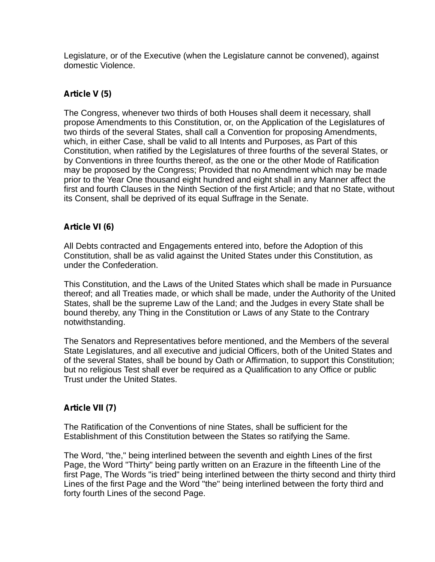Legislature, or of the Executive (when the Legislature cannot be convened), against domestic Violence.

## **Article V (5)**

The Congress, whenever two thirds of both Houses shall deem it necessary, shall propose Amendments to this Constitution, or, on the Application of the Legislatures of two thirds of the several States, shall call a Convention for proposing Amendments, which, in either Case, shall be valid to all Intents and Purposes, as Part of this Constitution, when ratified by the Legislatures of three fourths of the several States, or by Conventions in three fourths thereof, as the one or the other Mode of Ratification may be proposed by the Congress; Provided that no Amendment which may be made prior to the Year One thousand eight hundred and eight shall in any Manner affect the first and fourth Clauses in the Ninth Section of the first Article; and that no State, without its Consent, shall be deprived of its equal Suffrage in the Senate.

## **Article VI (6)**

All Debts contracted and Engagements entered into, before the Adoption of this Constitution, shall be as valid against the United States under this Constitution, as under the Confederation.

This Constitution, and the Laws of the United States which shall be made in Pursuance thereof; and all Treaties made, or which shall be made, under the Authority of the United States, shall be the supreme Law of the Land; and the Judges in every State shall be bound thereby, any Thing in the Constitution or Laws of any State to the Contrary notwithstanding.

The Senators and Representatives before mentioned, and the Members of the several State Legislatures, and all executive and judicial Officers, both of the United States and of the several States, shall be bound by Oath or Affirmation, to support this Constitution; but no religious Test shall ever be required as a Qualification to any Office or public Trust under the United States.

## **Article VII (7)**

The Ratification of the Conventions of nine States, shall be sufficient for the Establishment of this Constitution between the States so ratifying the Same.

The Word, "the," being interlined between the seventh and eighth Lines of the first Page, the Word "Thirty" being partly written on an Erazure in the fifteenth Line of the first Page, The Words "is tried" being interlined between the thirty second and thirty third Lines of the first Page and the Word "the" being interlined between the forty third and forty fourth Lines of the second Page.